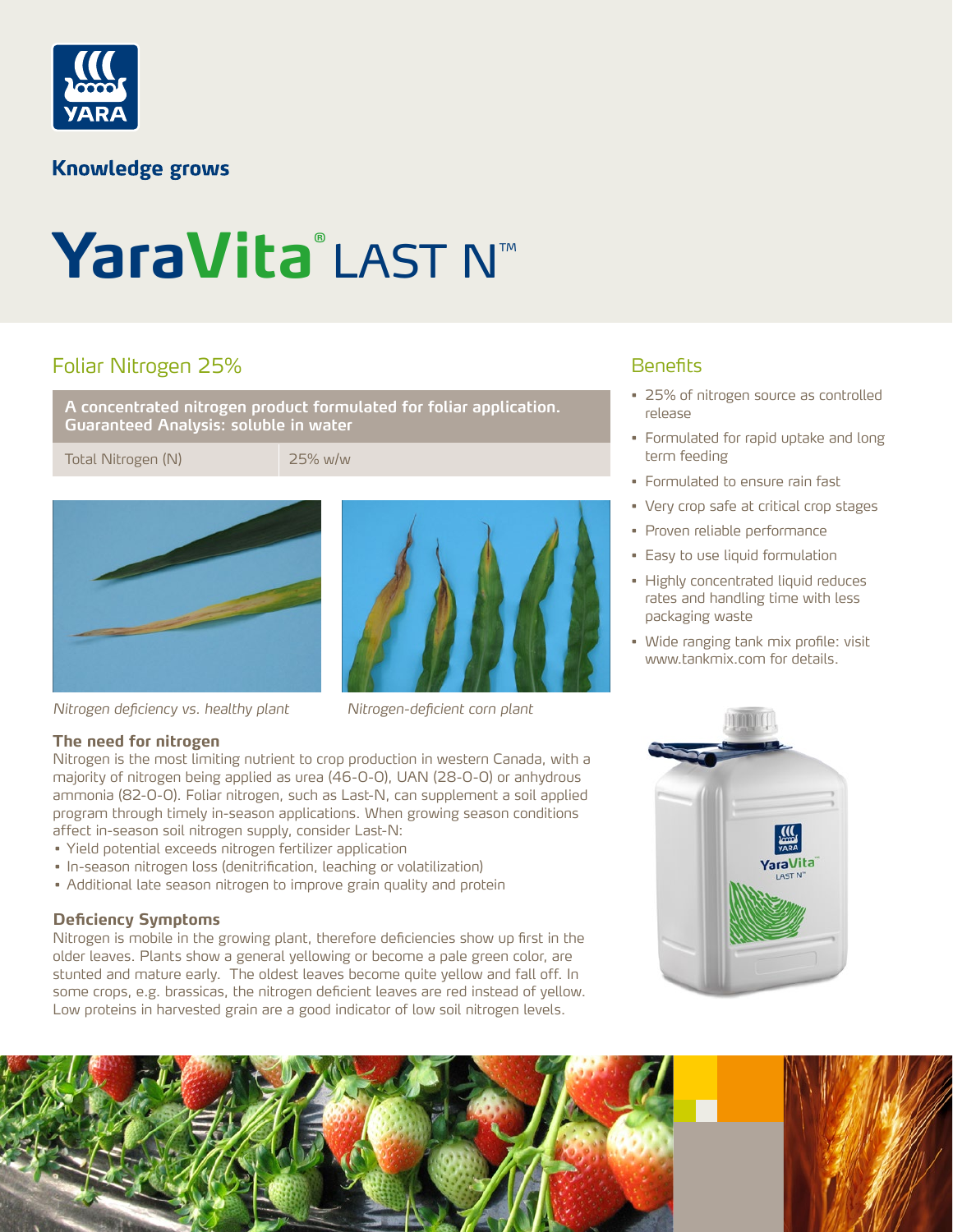

# **Knowledge grows**

# YaraVita<sup>®</sup>LAST N™

# Foliar Nitrogen 25%

**A concentrated nitrogen product formulated for foliar application. Guaranteed Analysis: soluble in water**

Total Nitrogen (N) 25% w/w



*Nitrogen deficiency vs. healthy plant Nitrogen-deficient corn plant*



### **Benefits**

- 25% of nitrogen source as controlled release
- Formulated for rapid uptake and long term feeding
- Formulated to ensure rain fast
- Very crop safe at critical crop stages
- Proven reliable performance
- Easy to use liquid formulation
- Highly concentrated liquid reduces rates and handling time with less packaging waste
- Wide ranging tank mix profile: visit www.tankmix.com for details.

#### **The need for nitrogen**

Nitrogen is the most limiting nutrient to crop production in western Canada, with a majority of nitrogen being applied as urea (46-0-0), UAN (28-0-0) or anhydrous ammonia (82-0-0). Foliar nitrogen, such as Last-N, can supplement a soil applied program through timely in-season applications. When growing season conditions affect in-season soil nitrogen supply, consider Last-N:

- Yield potential exceeds nitrogen fertilizer application
- In-season nitrogen loss (denitrification, leaching or volatilization)
- Additional late season nitrogen to improve grain quality and protein

#### **Deficiency Symptoms**

Nitrogen is mobile in the growing plant, therefore deficiencies show up first in the older leaves. Plants show a general yellowing or become a pale green color, are stunted and mature early. The oldest leaves become quite yellow and fall off. In some crops, e.g. brassicas, the nitrogen deficient leaves are red instead of yellow. Low proteins in harvested grain are a good indicator of low soil nitrogen levels.

YaraVita